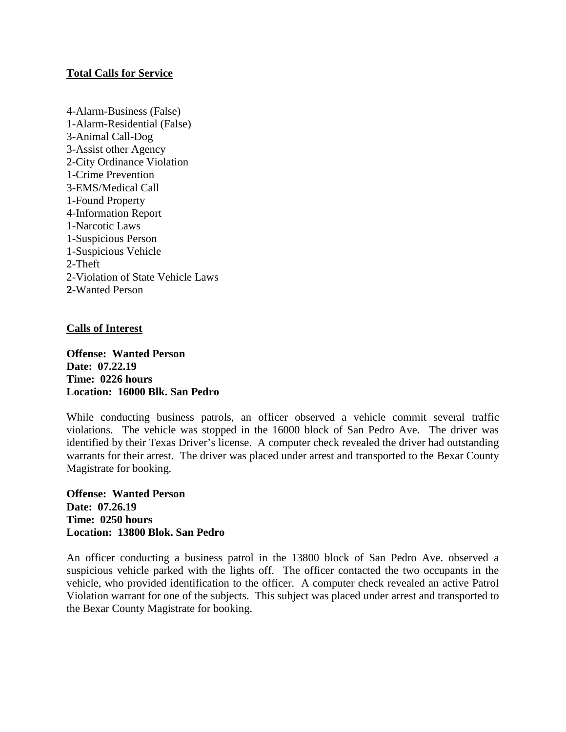## **Total Calls for Service**

4-Alarm-Business (False) 1-Alarm-Residential (False) 3-Animal Call-Dog 3-Assist other Agency 2-City Ordinance Violation 1-Crime Prevention 3-EMS/Medical Call 1-Found Property 4-Information Report 1-Narcotic Laws 1-Suspicious Person 1-Suspicious Vehicle 2-Theft 2-Violation of State Vehicle Laws **2-**Wanted Person

## **Calls of Interest**

**Offense: Wanted Person Date: 07.22.19 Time: 0226 hours Location: 16000 Blk. San Pedro**

While conducting business patrols, an officer observed a vehicle commit several traffic violations. The vehicle was stopped in the 16000 block of San Pedro Ave. The driver was identified by their Texas Driver's license. A computer check revealed the driver had outstanding warrants for their arrest. The driver was placed under arrest and transported to the Bexar County Magistrate for booking.

**Offense: Wanted Person Date: 07.26.19 Time: 0250 hours Location: 13800 Blok. San Pedro**

An officer conducting a business patrol in the 13800 block of San Pedro Ave. observed a suspicious vehicle parked with the lights off. The officer contacted the two occupants in the vehicle, who provided identification to the officer. A computer check revealed an active Patrol Violation warrant for one of the subjects. This subject was placed under arrest and transported to the Bexar County Magistrate for booking.